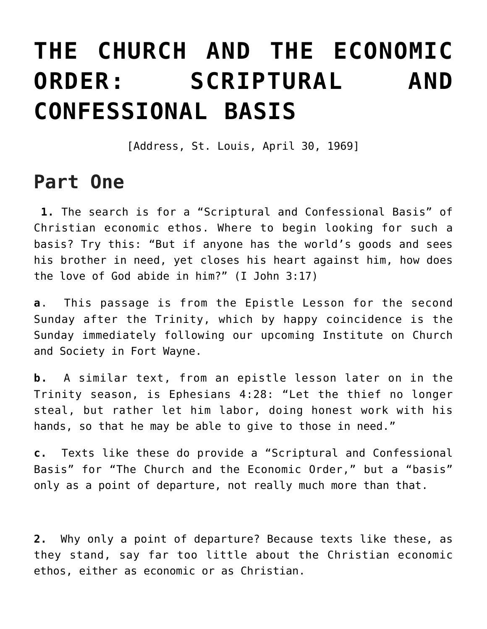## **[THE CHURCH AND THE ECONOMIC](https://crossings.org/the-church-and-the-economic-order-scriptural-and-confessional-basis/) [ORDER: SCRIPTURAL AND](https://crossings.org/the-church-and-the-economic-order-scriptural-and-confessional-basis/) [CONFESSIONAL BASIS](https://crossings.org/the-church-and-the-economic-order-scriptural-and-confessional-basis/)**

[Address, St. Louis, April 30, 1969]

## **Part One**

 **1.** The search is for a "Scriptural and Confessional Basis" of Christian economic ethos. Where to begin looking for such a basis? Try this: "But if anyone has the world's goods and sees his brother in need, yet closes his heart against him, how does the love of God abide in him?" (I John 3:17)

**a**. This passage is from the Epistle Lesson for the second Sunday after the Trinity, which by happy coincidence is the Sunday immediately following our upcoming Institute on Church and Society in Fort Wayne.

**b.** A similar text, from an epistle lesson later on in the Trinity season, is Ephesians 4:28: "Let the thief no longer steal, but rather let him labor, doing honest work with his hands, so that he may be able to give to those in need."

**c.** Texts like these do provide a "Scriptural and Confessional Basis" for "The Church and the Economic Order," but a "basis" only as a point of departure, not really much more than that.

**2.** Why only a point of departure? Because texts like these, as they stand, say far too little about the Christian economic ethos, either as economic or as Christian.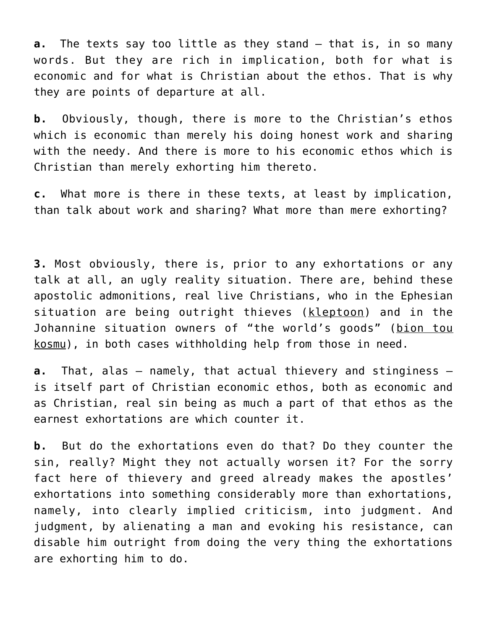**a.** The texts say too little as they stand – that is, in so many words. But they are rich in implication, both for what is economic and for what is Christian about the ethos. That is why they are points of departure at all.

**b.** Obviously, though, there is more to the Christian's ethos which is economic than merely his doing honest work and sharing with the needy. And there is more to his economic ethos which is Christian than merely exhorting him thereto.

**c.** What more is there in these texts, at least by implication, than talk about work and sharing? What more than mere exhorting?

**3.** Most obviously, there is, prior to any exhortations or any talk at all, an ugly reality situation. There are, behind these apostolic admonitions, real live Christians, who in the Ephesian situation are being outright thieves (kleptoon) and in the Johannine situation owners of "the world's goods" (bion tou kosmu), in both cases withholding help from those in need.

**a.** That, alas – namely, that actual thievery and stinginess – is itself part of Christian economic ethos, both as economic and as Christian, real sin being as much a part of that ethos as the earnest exhortations are which counter it.

**b.** But do the exhortations even do that? Do they counter the sin, really? Might they not actually worsen it? For the sorry fact here of thievery and greed already makes the apostles' exhortations into something considerably more than exhortations, namely, into clearly implied criticism, into judgment. And judgment, by alienating a man and evoking his resistance, can disable him outright from doing the very thing the exhortations are exhorting him to do.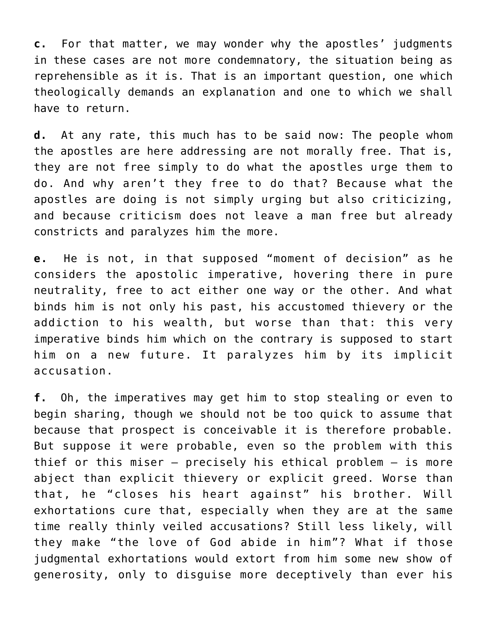**c.** For that matter, we may wonder why the apostles' judgments in these cases are not more condemnatory, the situation being as reprehensible as it is. That is an important question, one which theologically demands an explanation and one to which we shall have to return.

**d.** At any rate, this much has to be said now: The people whom the apostles are here addressing are not morally free. That is, they are not free simply to do what the apostles urge them to do. And why aren't they free to do that? Because what the apostles are doing is not simply urging but also criticizing, and because criticism does not leave a man free but already constricts and paralyzes him the more.

**e.** He is not, in that supposed "moment of decision" as he considers the apostolic imperative, hovering there in pure neutrality, free to act either one way or the other. And what binds him is not only his past, his accustomed thievery or the addiction to his wealth, but worse than that: this very imperative binds him which on the contrary is supposed to start him on a new future. It paralyzes him by its implicit accusation.

**f.** Oh, the imperatives may get him to stop stealing or even to begin sharing, though we should not be too quick to assume that because that prospect is conceivable it is therefore probable. But suppose it were probable, even so the problem with this thief or this miser – precisely his ethical problem – is more abject than explicit thievery or explicit greed. Worse than that, he "closes his heart against" his brother. Will exhortations cure that, especially when they are at the same time really thinly veiled accusations? Still less likely, will they make "the love of God abide in him"? What if those judgmental exhortations would extort from him some new show of generosity, only to disguise more deceptively than ever his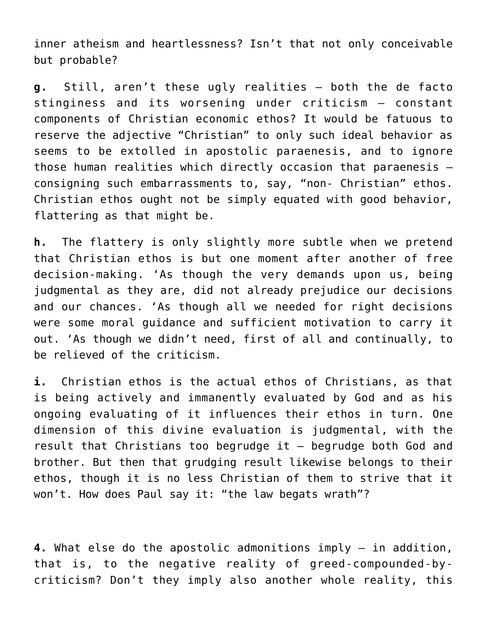inner atheism and heartlessness? Isn't that not only conceivable but probable?

**g.** Still, aren't these ugly realities – both the de facto stinginess and its worsening under criticism – constant components of Christian economic ethos? It would be fatuous to reserve the adjective "Christian" to only such ideal behavior as seems to be extolled in apostolic paraenesis, and to ignore those human realities which directly occasion that paraenesis – consigning such embarrassments to, say, "non- Christian" ethos. Christian ethos ought not be simply equated with good behavior, flattering as that might be.

**h.** The flattery is only slightly more subtle when we pretend that Christian ethos is but one moment after another of free decision-making. 'As though the very demands upon us, being judgmental as they are, did not already prejudice our decisions and our chances. 'As though all we needed for right decisions were some moral guidance and sufficient motivation to carry it out. 'As though we didn't need, first of all and continually, to be relieved of the criticism.

**i.** Christian ethos is the actual ethos of Christians, as that is being actively and immanently evaluated by God and as his ongoing evaluating of it influences their ethos in turn. One dimension of this divine evaluation is judgmental, with the result that Christians too begrudge it – begrudge both God and brother. But then that grudging result likewise belongs to their ethos, though it is no less Christian of them to strive that it won't. How does Paul say it: "the law begats wrath"?

**4.** What else do the apostolic admonitions imply – in addition, that is, to the negative reality of greed-compounded-bycriticism? Don't they imply also another whole reality, this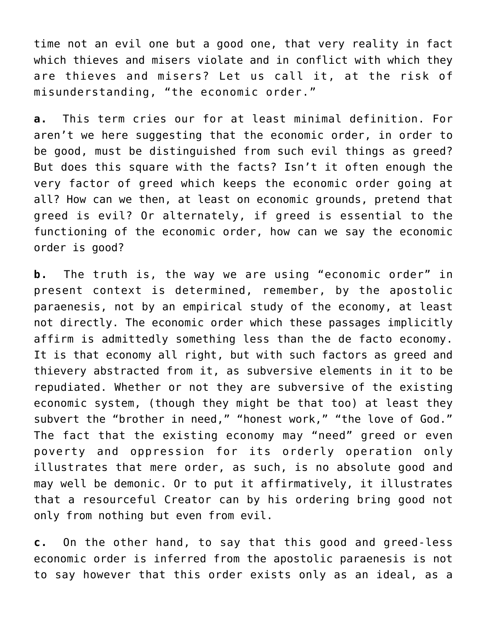time not an evil one but a good one, that very reality in fact which thieves and misers violate and in conflict with which they are thieves and misers? Let us call it, at the risk of misunderstanding, "the economic order."

**a.** This term cries our for at least minimal definition. For aren't we here suggesting that the economic order, in order to be good, must be distinguished from such evil things as greed? But does this square with the facts? Isn't it often enough the very factor of greed which keeps the economic order going at all? How can we then, at least on economic grounds, pretend that greed is evil? Or alternately, if greed is essential to the functioning of the economic order, how can we say the economic order is good?

**b.** The truth is, the way we are using "economic order" in present context is determined, remember, by the apostolic paraenesis, not by an empirical study of the economy, at least not directly. The economic order which these passages implicitly affirm is admittedly something less than the de facto economy. It is that economy all right, but with such factors as greed and thievery abstracted from it, as subversive elements in it to be repudiated. Whether or not they are subversive of the existing economic system, (though they might be that too) at least they subvert the "brother in need," "honest work," "the love of God." The fact that the existing economy may "need" greed or even poverty and oppression for its orderly operation only illustrates that mere order, as such, is no absolute good and may well be demonic. Or to put it affirmatively, it illustrates that a resourceful Creator can by his ordering bring good not only from nothing but even from evil.

**c.** On the other hand, to say that this good and greed-less economic order is inferred from the apostolic paraenesis is not to say however that this order exists only as an ideal, as a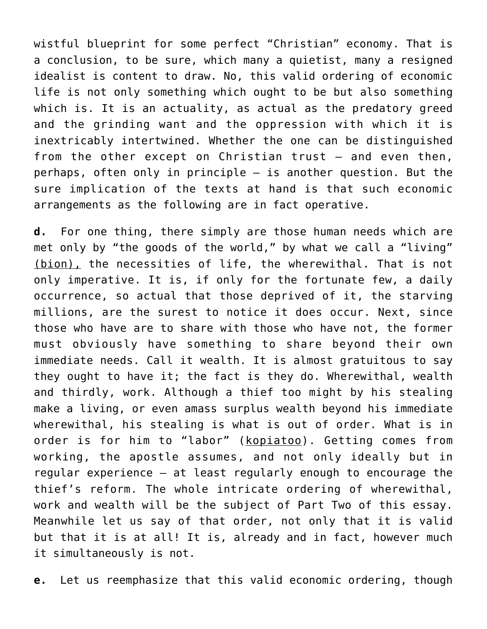wistful blueprint for some perfect "Christian" economy. That is a conclusion, to be sure, which many a quietist, many a resigned idealist is content to draw. No, this valid ordering of economic life is not only something which ought to be but also something which is. It is an actuality, as actual as the predatory greed and the grinding want and the oppression with which it is inextricably intertwined. Whether the one can be distinguished from the other except on Christian trust – and even then, perhaps, often only in principle – is another question. But the sure implication of the texts at hand is that such economic arrangements as the following are in fact operative.

**d.** For one thing, there simply are those human needs which are met only by "the goods of the world," by what we call a "living" (bion), the necessities of life, the wherewithal. That is not only imperative. It is, if only for the fortunate few, a daily occurrence, so actual that those deprived of it, the starving millions, are the surest to notice it does occur. Next, since those who have are to share with those who have not, the former must obviously have something to share beyond their own immediate needs. Call it wealth. It is almost gratuitous to say they ought to have it; the fact is they do. Wherewithal, wealth and thirdly, work. Although a thief too might by his stealing make a living, or even amass surplus wealth beyond his immediate wherewithal, his stealing is what is out of order. What is in order is for him to "labor" (kopiatoo). Getting comes from working, the apostle assumes, and not only ideally but in regular experience – at least regularly enough to encourage the thief's reform. The whole intricate ordering of wherewithal, work and wealth will be the subject of Part Two of this essay. Meanwhile let us say of that order, not only that it is valid but that it is at all! It is, already and in fact, however much it simultaneously is not.

**e.** Let us reemphasize that this valid economic ordering, though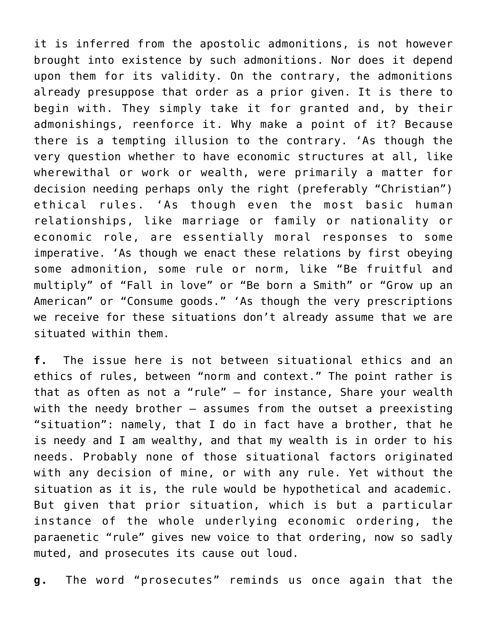it is inferred from the apostolic admonitions, is not however brought into existence by such admonitions. Nor does it depend upon them for its validity. On the contrary, the admonitions already presuppose that order as a prior given. It is there to begin with. They simply take it for granted and, by their admonishings, reenforce it. Why make a point of it? Because there is a tempting illusion to the contrary. 'As though the very question whether to have economic structures at all, like wherewithal or work or wealth, were primarily a matter for decision needing perhaps only the right (preferably "Christian") ethical rules. 'As though even the most basic human relationships, like marriage or family or nationality or economic role, are essentially moral responses to some imperative. 'As though we enact these relations by first obeying some admonition, some rule or norm, like "Be fruitful and multiply" of "Fall in love" or "Be born a Smith" or "Grow up an American" or "Consume goods." 'As though the very prescriptions we receive for these situations don't already assume that we are situated within them.

**f.** The issue here is not between situational ethics and an ethics of rules, between "norm and context." The point rather is that as often as not a "rule" – for instance, Share your wealth with the needy brother – assumes from the outset a preexisting "situation": namely, that I do in fact have a brother, that he is needy and I am wealthy, and that my wealth is in order to his needs. Probably none of those situational factors originated with any decision of mine, or with any rule. Yet without the situation as it is, the rule would be hypothetical and academic. But given that prior situation, which is but a particular instance of the whole underlying economic ordering, the paraenetic "rule" gives new voice to that ordering, now so sadly muted, and prosecutes its cause out loud.

**g.** The word "prosecutes" reminds us once again that the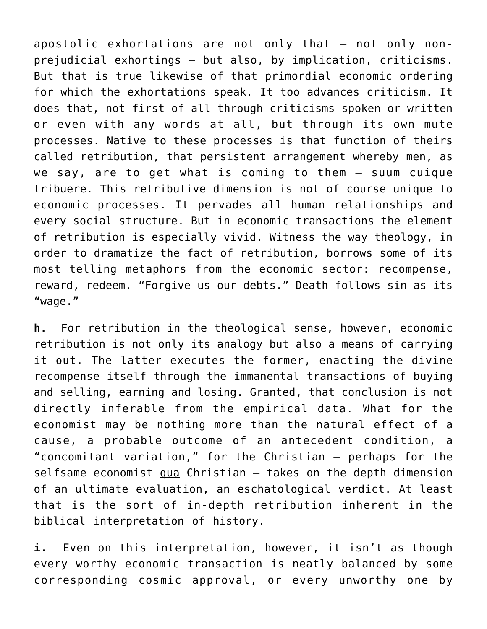apostolic exhortations are not only that – not only nonprejudicial exhortings – but also, by implication, criticisms. But that is true likewise of that primordial economic ordering for which the exhortations speak. It too advances criticism. It does that, not first of all through criticisms spoken or written or even with any words at all, but through its own mute processes. Native to these processes is that function of theirs called retribution, that persistent arrangement whereby men, as we say, are to get what is coming to them – suum cuique tribuere. This retributive dimension is not of course unique to economic processes. It pervades all human relationships and every social structure. But in economic transactions the element of retribution is especially vivid. Witness the way theology, in order to dramatize the fact of retribution, borrows some of its most telling metaphors from the economic sector: recompense, reward, redeem. "Forgive us our debts." Death follows sin as its "wage."

**h.** For retribution in the theological sense, however, economic retribution is not only its analogy but also a means of carrying it out. The latter executes the former, enacting the divine recompense itself through the immanental transactions of buying and selling, earning and losing. Granted, that conclusion is not directly inferable from the empirical data. What for the economist may be nothing more than the natural effect of a cause, a probable outcome of an antecedent condition, a "concomitant variation," for the Christian – perhaps for the selfsame economist  $g_{\text{u}a}$  Christian  $-$  takes on the depth dimension of an ultimate evaluation, an eschatological verdict. At least that is the sort of in-depth retribution inherent in the biblical interpretation of history.

**i.** Even on this interpretation, however, it isn't as though every worthy economic transaction is neatly balanced by some corresponding cosmic approval, or every unworthy one by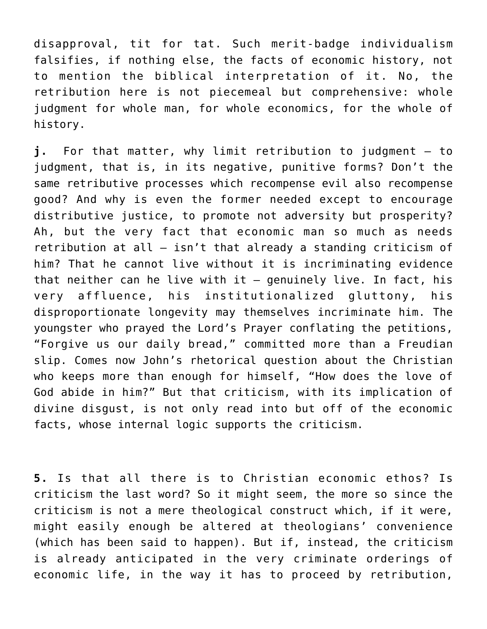disapproval, tit for tat. Such merit-badge individualism falsifies, if nothing else, the facts of economic history, not to mention the biblical interpretation of it. No, the retribution here is not piecemeal but comprehensive: whole judgment for whole man, for whole economics, for the whole of history.

**j.** For that matter, why limit retribution to judgment – to judgment, that is, in its negative, punitive forms? Don't the same retributive processes which recompense evil also recompense good? And why is even the former needed except to encourage distributive justice, to promote not adversity but prosperity? Ah, but the very fact that economic man so much as needs retribution at all – isn't that already a standing criticism of him? That he cannot live without it is incriminating evidence that neither can he live with it  $-$  genuinely live. In fact, his very affluence, his institutionalized gluttony, his disproportionate longevity may themselves incriminate him. The youngster who prayed the Lord's Prayer conflating the petitions, "Forgive us our daily bread," committed more than a Freudian slip. Comes now John's rhetorical question about the Christian who keeps more than enough for himself, "How does the love of God abide in him?" But that criticism, with its implication of divine disgust, is not only read into but off of the economic facts, whose internal logic supports the criticism.

**5.** Is that all there is to Christian economic ethos? Is criticism the last word? So it might seem, the more so since the criticism is not a mere theological construct which, if it were, might easily enough be altered at theologians' convenience (which has been said to happen). But if, instead, the criticism is already anticipated in the very criminate orderings of economic life, in the way it has to proceed by retribution,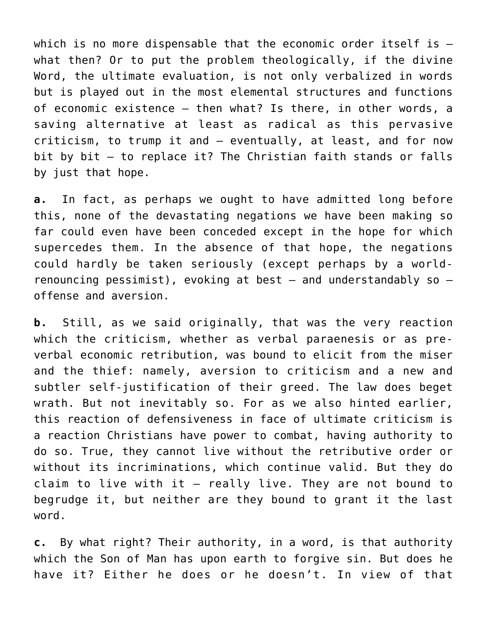which is no more dispensable that the economic order itself is  $$ what then? Or to put the problem theologically, if the divine Word, the ultimate evaluation, is not only verbalized in words but is played out in the most elemental structures and functions of economic existence – then what? Is there, in other words, a saving alternative at least as radical as this pervasive criticism, to trump it and – eventually, at least, and for now bit by bit – to replace it? The Christian faith stands or falls by just that hope.

**a.** In fact, as perhaps we ought to have admitted long before this, none of the devastating negations we have been making so far could even have been conceded except in the hope for which supercedes them. In the absence of that hope, the negations could hardly be taken seriously (except perhaps by a worldrenouncing pessimist), evoking at best  $-$  and understandably so  $$ offense and aversion.

**b.** Still, as we said originally, that was the very reaction which the criticism, whether as verbal paraenesis or as preverbal economic retribution, was bound to elicit from the miser and the thief: namely, aversion to criticism and a new and subtler self-justification of their greed. The law does beget wrath. But not inevitably so. For as we also hinted earlier, this reaction of defensiveness in face of ultimate criticism is a reaction Christians have power to combat, having authority to do so. True, they cannot live without the retributive order or without its incriminations, which continue valid. But they do claim to live with it – really live. They are not bound to begrudge it, but neither are they bound to grant it the last word.

**c.** By what right? Their authority, in a word, is that authority which the Son of Man has upon earth to forgive sin. But does he have it? Either he does or he doesn't. In view of that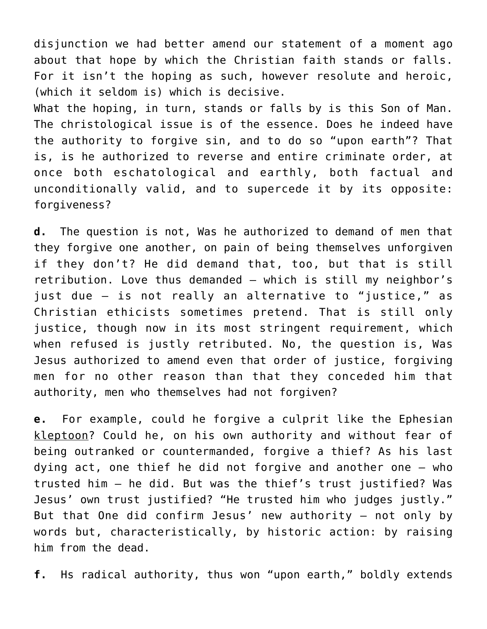disjunction we had better amend our statement of a moment ago about that hope by which the Christian faith stands or falls. For it isn't the hoping as such, however resolute and heroic, (which it seldom is) which is decisive. What the hoping, in turn, stands or falls by is this Son of Man. The christological issue is of the essence. Does he indeed have the authority to forgive sin, and to do so "upon earth"? That is, is he authorized to reverse and entire criminate order, at once both eschatological and earthly, both factual and unconditionally valid, and to supercede it by its opposite: forgiveness?

**d.** The question is not, Was he authorized to demand of men that they forgive one another, on pain of being themselves unforgiven if they don't? He did demand that, too, but that is still retribution. Love thus demanded – which is still my neighbor's just due – is not really an alternative to "justice," as Christian ethicists sometimes pretend. That is still only justice, though now in its most stringent requirement, which when refused is justly retributed. No, the question is, Was Jesus authorized to amend even that order of justice, forgiving men for no other reason than that they conceded him that authority, men who themselves had not forgiven?

**e.** For example, could he forgive a culprit like the Ephesian kleptoon? Could he, on his own authority and without fear of being outranked or countermanded, forgive a thief? As his last dying act, one thief he did not forgive and another one – who trusted him – he did. But was the thief's trust justified? Was Jesus' own trust justified? "He trusted him who judges justly." But that One did confirm Jesus' new authority – not only by words but, characteristically, by historic action: by raising him from the dead.

**f.** Hs radical authority, thus won "upon earth," boldly extends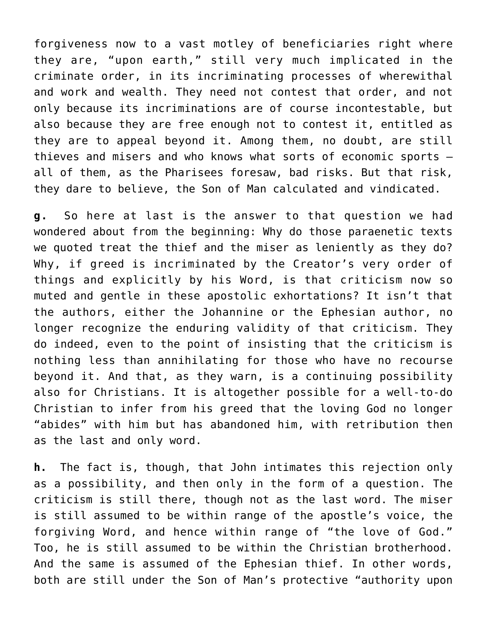forgiveness now to a vast motley of beneficiaries right where they are, "upon earth," still very much implicated in the criminate order, in its incriminating processes of wherewithal and work and wealth. They need not contest that order, and not only because its incriminations are of course incontestable, but also because they are free enough not to contest it, entitled as they are to appeal beyond it. Among them, no doubt, are still thieves and misers and who knows what sorts of economic sports – all of them, as the Pharisees foresaw, bad risks. But that risk, they dare to believe, the Son of Man calculated and vindicated.

**g.** So here at last is the answer to that question we had wondered about from the beginning: Why do those paraenetic texts we quoted treat the thief and the miser as leniently as they do? Why, if greed is incriminated by the Creator's very order of things and explicitly by his Word, is that criticism now so muted and gentle in these apostolic exhortations? It isn't that the authors, either the Johannine or the Ephesian author, no longer recognize the enduring validity of that criticism. They do indeed, even to the point of insisting that the criticism is nothing less than annihilating for those who have no recourse beyond it. And that, as they warn, is a continuing possibility also for Christians. It is altogether possible for a well-to-do Christian to infer from his greed that the loving God no longer "abides" with him but has abandoned him, with retribution then as the last and only word.

**h.** The fact is, though, that John intimates this rejection only as a possibility, and then only in the form of a question. The criticism is still there, though not as the last word. The miser is still assumed to be within range of the apostle's voice, the forgiving Word, and hence within range of "the love of God." Too, he is still assumed to be within the Christian brotherhood. And the same is assumed of the Ephesian thief. In other words, both are still under the Son of Man's protective "authority upon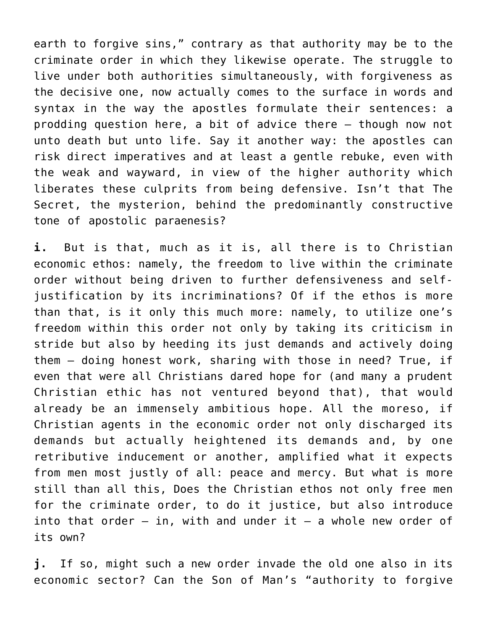earth to forgive sins," contrary as that authority may be to the criminate order in which they likewise operate. The struggle to live under both authorities simultaneously, with forgiveness as the decisive one, now actually comes to the surface in words and syntax in the way the apostles formulate their sentences: a prodding question here, a bit of advice there – though now not unto death but unto life. Say it another way: the apostles can risk direct imperatives and at least a gentle rebuke, even with the weak and wayward, in view of the higher authority which liberates these culprits from being defensive. Isn't that The Secret, the mysterion, behind the predominantly constructive tone of apostolic paraenesis?

**i.** But is that, much as it is, all there is to Christian economic ethos: namely, the freedom to live within the criminate order without being driven to further defensiveness and selfjustification by its incriminations? Of if the ethos is more than that, is it only this much more: namely, to utilize one's freedom within this order not only by taking its criticism in stride but also by heeding its just demands and actively doing them – doing honest work, sharing with those in need? True, if even that were all Christians dared hope for (and many a prudent Christian ethic has not ventured beyond that), that would already be an immensely ambitious hope. All the moreso, if Christian agents in the economic order not only discharged its demands but actually heightened its demands and, by one retributive inducement or another, amplified what it expects from men most justly of all: peace and mercy. But what is more still than all this, Does the Christian ethos not only free men for the criminate order, to do it justice, but also introduce into that order  $-$  in, with and under it  $-$  a whole new order of its own?

**j.** If so, might such a new order invade the old one also in its economic sector? Can the Son of Man's "authority to forgive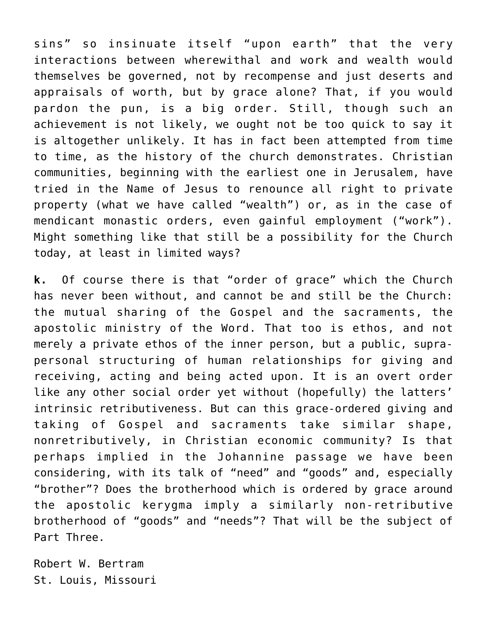sins" so insinuate itself "upon earth" that the very interactions between wherewithal and work and wealth would themselves be governed, not by recompense and just deserts and appraisals of worth, but by grace alone? That, if you would pardon the pun, is a big order. Still, though such an achievement is not likely, we ought not be too quick to say it is altogether unlikely. It has in fact been attempted from time to time, as the history of the church demonstrates. Christian communities, beginning with the earliest one in Jerusalem, have tried in the Name of Jesus to renounce all right to private property (what we have called "wealth") or, as in the case of mendicant monastic orders, even gainful employment ("work"). Might something like that still be a possibility for the Church today, at least in limited ways?

**k.** Of course there is that "order of grace" which the Church has never been without, and cannot be and still be the Church: the mutual sharing of the Gospel and the sacraments, the apostolic ministry of the Word. That too is ethos, and not merely a private ethos of the inner person, but a public, suprapersonal structuring of human relationships for giving and receiving, acting and being acted upon. It is an overt order like any other social order yet without (hopefully) the latters' intrinsic retributiveness. But can this grace-ordered giving and taking of Gospel and sacraments take similar shape, nonretributively, in Christian economic community? Is that perhaps implied in the Johannine passage we have been considering, with its talk of "need" and "goods" and, especially "brother"? Does the brotherhood which is ordered by grace around the apostolic kerygma imply a similarly non-retributive brotherhood of "goods" and "needs"? That will be the subject of Part Three.

Robert W. Bertram St. Louis, Missouri